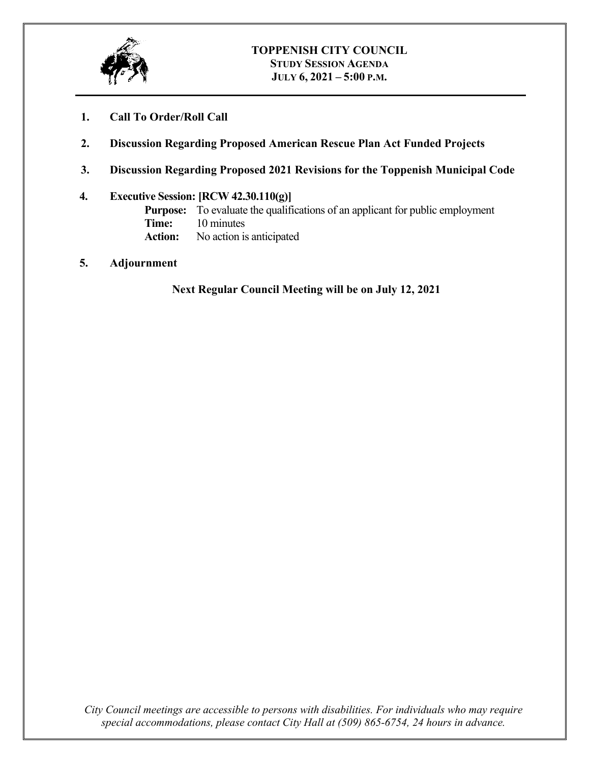

- **1. Call To Order/Roll Call**
- **2. Discussion Regarding Proposed American Rescue Plan Act Funded Projects**
- **3. Discussion Regarding Proposed 2021 Revisions for the Toppenish Municipal Code**

## **4. Executive Session: [RCW 42.30.110(g)]**

**Purpose:** To evaluate the qualifications of an applicant for public employment **Time:** 10 minutes **Action:** No action is anticipated

**5. Adjournment**

**Next Regular Council Meeting will be on July 12, 2021**

*City Council meetings are accessible to persons with disabilities. For individuals who may require special accommodations, please contact City Hall at (509) 865-6754, 24 hours in advance.*